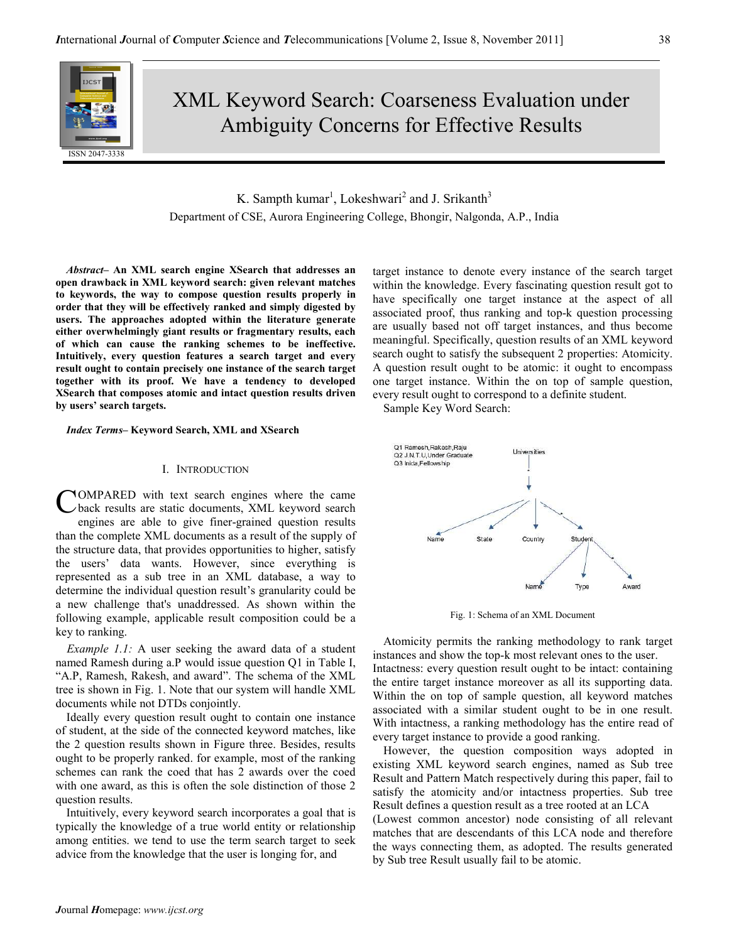

# XML Keyword Search: Coarseness Evaluation under Ambiguity Concerns for Effective Results

K. Sampth kumar<sup>1</sup>, Lokeshwari<sup>2</sup> and J. Srikanth<sup>3</sup> Department of CSE, Aurora Engineering College, Bhongir, Nalgonda, A.P., India

Abstract– An XML search engine XSearch that addresses an open drawback in XML keyword search: given relevant matches to keywords, the way to compose question results properly in order that they will be effectively ranked and simply digested by users. The approaches adopted within the literature generate either overwhelmingly giant results or fragmentary results, each of which can cause the ranking schemes to be ineffective. Intuitively, every question features a search target and every result ought to contain precisely one instance of the search target together with its proof. We have a tendency to developed XSearch that composes atomic and intact question results driven by users' search targets.

Index Terms– Keyword Search, XML and XSearch

# I. INTRODUCTION

OMPARED with text search engines where the came back results are static documents, XML keyword search engines are able to give finer-grained question results than the complete XML documents as a result of the supply of the structure data, that provides opportunities to higher, satisfy the users' data wants. However, since everything is represented as a sub tree in an XML database, a way to determine the individual question result's granularity could be a new challenge that's unaddressed. As shown within the following example, applicable result composition could be a key to ranking. C

Example 1.1: A user seeking the award data of a student named Ramesh during a.P would issue question Q1 in Table I, "A.P, Ramesh, Rakesh, and award". The schema of the XML tree is shown in Fig. 1. Note that our system will handle XML documents while not DTDs conjointly.

Ideally every question result ought to contain one instance of student, at the side of the connected keyword matches, like the 2 question results shown in Figure three. Besides, results ought to be properly ranked. for example, most of the ranking schemes can rank the coed that has 2 awards over the coed with one award, as this is often the sole distinction of those 2 question results.

Intuitively, every keyword search incorporates a goal that is typically the knowledge of a true world entity or relationship among entities. we tend to use the term search target to seek advice from the knowledge that the user is longing for, and

target instance to denote every instance of the search target within the knowledge. Every fascinating question result got to have specifically one target instance at the aspect of all associated proof, thus ranking and top-k question processing are usually based not off target instances, and thus become meaningful. Specifically, question results of an XML keyword search ought to satisfy the subsequent 2 properties: Atomicity. A question result ought to be atomic: it ought to encompass one target instance. Within the on top of sample question, every result ought to correspond to a definite student.

Sample Key Word Search:



Fig. 1: Schema of an XML Document

Atomicity permits the ranking methodology to rank target instances and show the top-k most relevant ones to the user. Intactness: every question result ought to be intact: containing the entire target instance moreover as all its supporting data. Within the on top of sample question, all keyword matches associated with a similar student ought to be in one result. With intactness, a ranking methodology has the entire read of every target instance to provide a good ranking.

However, the question composition ways adopted in existing XML keyword search engines, named as Sub tree Result and Pattern Match respectively during this paper, fail to satisfy the atomicity and/or intactness properties. Sub tree Result defines a question result as a tree rooted at an LCA

(Lowest common ancestor) node consisting of all relevant matches that are descendants of this LCA node and therefore the ways connecting them, as adopted. The results generated by Sub tree Result usually fail to be atomic.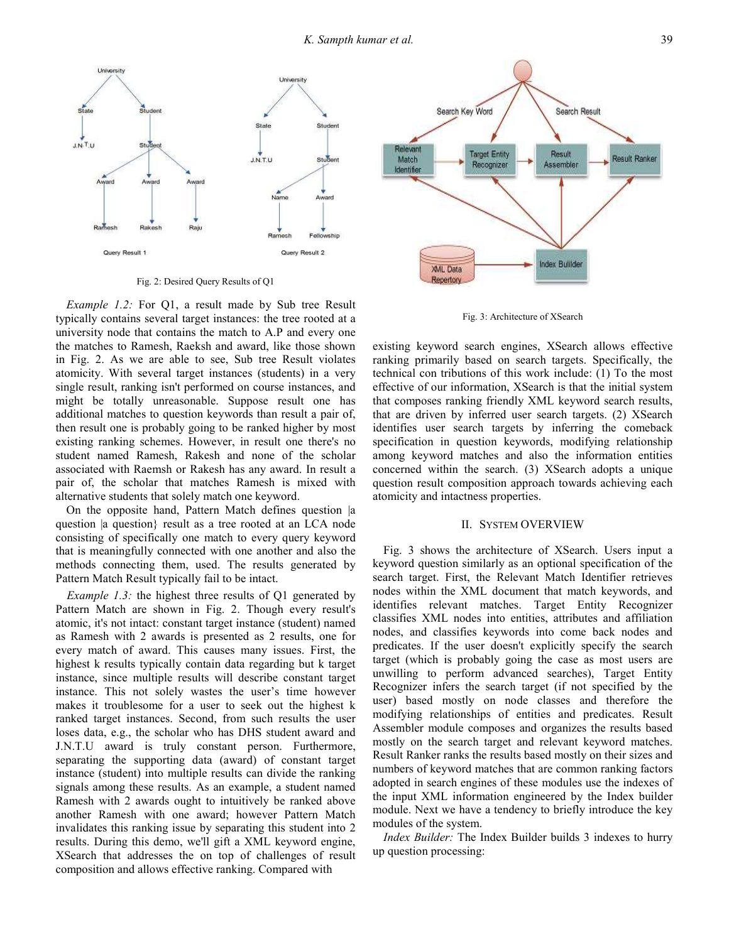

Fig. 2: Desired Query Results of Q1

Example 1.2: For Q1, a result made by Sub tree Result typically contains several target instances: the tree rooted at a university node that contains the match to A.P and every one the matches to Ramesh, Raeksh and award, like those shown in Fig. 2. As we are able to see, Sub tree Result violates atomicity. With several target instances (students) in a very single result, ranking isn't performed on course instances, and might be totally unreasonable. Suppose result one has additional matches to question keywords than result a pair of, then result one is probably going to be ranked higher by most existing ranking schemes. However, in result one there's no student named Ramesh, Rakesh and none of the scholar associated with Raemsh or Rakesh has any award. In result a pair of, the scholar that matches Ramesh is mixed with alternative students that solely match one keyword.

On the opposite hand, Pattern Match defines question |a question |a question} result as a tree rooted at an LCA node consisting of specifically one match to every query keyword that is meaningfully connected with one another and also the methods connecting them, used. The results generated by Pattern Match Result typically fail to be intact.

Example 1.3: the highest three results of Q1 generated by Pattern Match are shown in Fig. 2. Though every result's atomic, it's not intact: constant target instance (student) named as Ramesh with 2 awards is presented as 2 results, one for every match of award. This causes many issues. First, the highest k results typically contain data regarding but k target instance, since multiple results will describe constant target instance. This not solely wastes the user's time however makes it troublesome for a user to seek out the highest k ranked target instances. Second, from such results the user loses data, e.g., the scholar who has DHS student award and J.N.T.U award is truly constant person. Furthermore, separating the supporting data (award) of constant target instance (student) into multiple results can divide the ranking signals among these results. As an example, a student named Ramesh with 2 awards ought to intuitively be ranked above another Ramesh with one award; however Pattern Match invalidates this ranking issue by separating this student into 2 results. During this demo, we'll gift a XML keyword engine, XSearch that addresses the on top of challenges of result composition and allows effective ranking. Compared with



Fig. 3: Architecture of XSearch

existing keyword search engines, XSearch allows effective ranking primarily based on search targets. Specifically, the technical con tributions of this work include: (1) To the most effective of our information, XSearch is that the initial system that composes ranking friendly XML keyword search results, that are driven by inferred user search targets. (2) XSearch identifies user search targets by inferring the comeback specification in question keywords, modifying relationship among keyword matches and also the information entities concerned within the search. (3) XSearch adopts a unique question result composition approach towards achieving each atomicity and intactness properties.

## II. SYSTEM OVERVIEW

Fig. 3 shows the architecture of XSearch. Users input a keyword question similarly as an optional specification of the search target. First, the Relevant Match Identifier retrieves nodes within the XML document that match keywords, and identifies relevant matches. Target Entity Recognizer classifies XML nodes into entities, attributes and affiliation nodes, and classifies keywords into come back nodes and predicates. If the user doesn't explicitly specify the search target (which is probably going the case as most users are unwilling to perform advanced searches), Target Entity Recognizer infers the search target (if not specified by the user) based mostly on node classes and therefore the modifying relationships of entities and predicates. Result Assembler module composes and organizes the results based mostly on the search target and relevant keyword matches. Result Ranker ranks the results based mostly on their sizes and numbers of keyword matches that are common ranking factors adopted in search engines of these modules use the indexes of the input XML information engineered by the Index builder module. Next we have a tendency to briefly introduce the key modules of the system.

Index Builder: The Index Builder builds 3 indexes to hurry up question processing: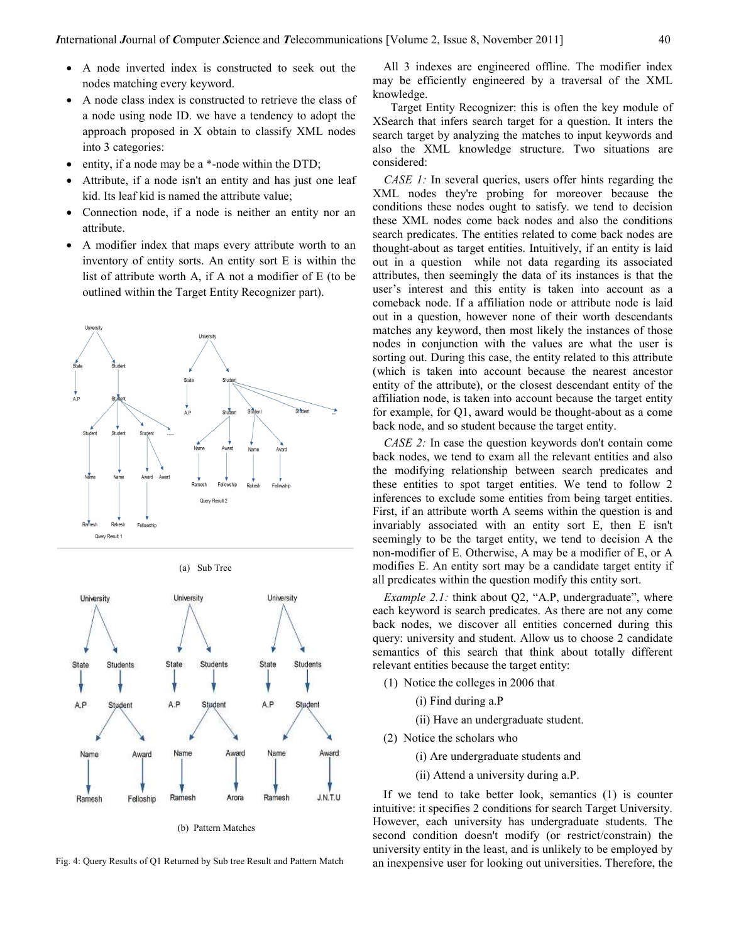- A node inverted index is constructed to seek out the nodes matching every keyword.
- A node class index is constructed to retrieve the class of a node using node ID. we have a tendency to adopt the approach proposed in X obtain to classify XML nodes into 3 categories:
- entity, if a node may be a \*-node within the DTD;
- Attribute, if a node isn't an entity and has just one leaf kid. Its leaf kid is named the attribute value;
- Connection node, if a node is neither an entity nor an attribute.
- A modifier index that maps every attribute worth to an inventory of entity sorts. An entity sort E is within the list of attribute worth A, if A not a modifier of E (to be outlined within the Target Entity Recognizer part).



(a) Sub Tree



(b) Pattern Matches

Fig. 4: Query Results of Q1 Returned by Sub tree Result and Pattern Match

All 3 indexes are engineered offline. The modifier index may be efficiently engineered by a traversal of the XML knowledge.

 Target Entity Recognizer: this is often the key module of XSearch that infers search target for a question. It inters the search target by analyzing the matches to input keywords and also the XML knowledge structure. Two situations are considered:

CASE 1: In several queries, users offer hints regarding the XML nodes they're probing for moreover because the conditions these nodes ought to satisfy. we tend to decision these XML nodes come back nodes and also the conditions search predicates. The entities related to come back nodes are thought-about as target entities. Intuitively, if an entity is laid out in a question while not data regarding its associated attributes, then seemingly the data of its instances is that the user's interest and this entity is taken into account as a comeback node. If a affiliation node or attribute node is laid out in a question, however none of their worth descendants matches any keyword, then most likely the instances of those nodes in conjunction with the values are what the user is sorting out. During this case, the entity related to this attribute (which is taken into account because the nearest ancestor entity of the attribute), or the closest descendant entity of the affiliation node, is taken into account because the target entity for example, for Q1, award would be thought-about as a come back node, and so student because the target entity.

CASE 2: In case the question keywords don't contain come back nodes, we tend to exam all the relevant entities and also the modifying relationship between search predicates and these entities to spot target entities. We tend to follow 2 inferences to exclude some entities from being target entities. First, if an attribute worth A seems within the question is and invariably associated with an entity sort E, then E isn't seemingly to be the target entity, we tend to decision A the non-modifier of E. Otherwise, A may be a modifier of E, or A modifies E. An entity sort may be a candidate target entity if all predicates within the question modify this entity sort.

Example 2.1: think about Q2, "A.P, undergraduate", where each keyword is search predicates. As there are not any come back nodes, we discover all entities concerned during this query: university and student. Allow us to choose 2 candidate semantics of this search that think about totally different relevant entities because the target entity:

- (1) Notice the colleges in 2006 that
	- (i) Find during a.P

(ii) Have an undergraduate student.

- (2) Notice the scholars who
	- (i) Are undergraduate students and
	- (ii) Attend a university during a.P.

If we tend to take better look, semantics (1) is counter intuitive: it specifies 2 conditions for search Target University. However, each university has undergraduate students. The second condition doesn't modify (or restrict/constrain) the university entity in the least, and is unlikely to be employed by an inexpensive user for looking out universities. Therefore, the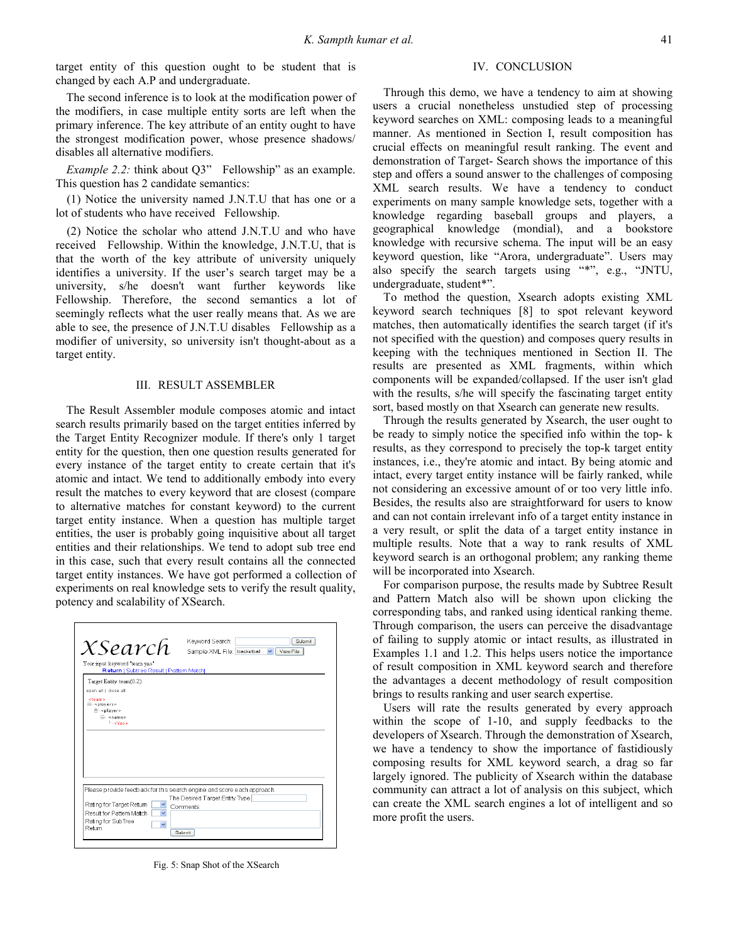target entity of this question ought to be student that is changed by each A.P and undergraduate.

The second inference is to look at the modification power of the modifiers, in case multiple entity sorts are left when the primary inference. The key attribute of an entity ought to have the strongest modification power, whose presence shadows/ disables all alternative modifiers.

Example 2.2: think about Q3" Fellowship" as an example. This question has 2 candidate semantics:

(1) Notice the university named J.N.T.U that has one or a lot of students who have received Fellowship.

(2) Notice the scholar who attend J.N.T.U and who have received Fellowship. Within the knowledge, J.N.T.U, that is that the worth of the key attribute of university uniquely identifies a university. If the user's search target may be a university, s/he doesn't want further keywords like Fellowship. Therefore, the second semantics a lot of seemingly reflects what the user really means that. As we are able to see, the presence of J.N.T.U disables Fellowship as a modifier of university, so university isn't thought-about as a target entity.

#### III. RESULT ASSEMBLER

The Result Assembler module composes atomic and intact search results primarily based on the target entities inferred by the Target Entity Recognizer module. If there's only 1 target entity for the question, then one question results generated for every instance of the target entity to create certain that it's atomic and intact. We tend to additionally embody into every result the matches to every keyword that are closest (compare to alternative matches for constant keyword) to the current target entity instance. When a question has multiple target entities, the user is probably going inquisitive about all target entities and their relationships. We tend to adopt sub tree end in this case, such that every result contains all the connected target entity instances. We have got performed a collection of experiments on real knowledge sets to verify the result quality, potency and scalability of XSearch.

| Your input keyword "team yao"<br>Return   Subtree Result   Pattern Match |                                                                         |
|--------------------------------------------------------------------------|-------------------------------------------------------------------------|
| Target Entity: team(0.2)                                                 |                                                                         |
| open all I dose all                                                      |                                                                         |
| eteam x<br>$\Box$ -<br>splay star-                                       |                                                                         |
| <b>A-</b> <player></player>                                              |                                                                         |
| E-snames<br><b>LindYan's</b>                                             |                                                                         |
|                                                                          |                                                                         |
|                                                                          |                                                                         |
|                                                                          |                                                                         |
|                                                                          |                                                                         |
|                                                                          |                                                                         |
|                                                                          |                                                                         |
|                                                                          |                                                                         |
|                                                                          |                                                                         |
|                                                                          |                                                                         |
|                                                                          | Please provide feedback for this search engine and score each approach. |
| Rating for Target Return                                                 | The Desired Target Entity Type<br>Comments:                             |

Fig. 5: Snap Shot of the XSearch

## IV. CONCLUSION

Through this demo, we have a tendency to aim at showing users a crucial nonetheless unstudied step of processing keyword searches on XML: composing leads to a meaningful manner. As mentioned in Section I, result composition has crucial effects on meaningful result ranking. The event and demonstration of Target- Search shows the importance of this step and offers a sound answer to the challenges of composing XML search results. We have a tendency to conduct experiments on many sample knowledge sets, together with a knowledge regarding baseball groups and players, a geographical knowledge (mondial), and a bookstore knowledge with recursive schema. The input will be an easy keyword question, like "Arora, undergraduate". Users may also specify the search targets using "\*", e.g., "JNTU, undergraduate, student\*".

To method the question, Xsearch adopts existing XML keyword search techniques [8] to spot relevant keyword matches, then automatically identifies the search target (if it's not specified with the question) and composes query results in keeping with the techniques mentioned in Section II. The results are presented as XML fragments, within which components will be expanded/collapsed. If the user isn't glad with the results, s/he will specify the fascinating target entity sort, based mostly on that Xsearch can generate new results.

Through the results generated by Xsearch, the user ought to be ready to simply notice the specified info within the top- k results, as they correspond to precisely the top-k target entity instances, i.e., they're atomic and intact. By being atomic and intact, every target entity instance will be fairly ranked, while not considering an excessive amount of or too very little info. Besides, the results also are straightforward for users to know and can not contain irrelevant info of a target entity instance in a very result, or split the data of a target entity instance in multiple results. Note that a way to rank results of XML keyword search is an orthogonal problem; any ranking theme will be incorporated into Xsearch.

For comparison purpose, the results made by Subtree Result and Pattern Match also will be shown upon clicking the corresponding tabs, and ranked using identical ranking theme. Through comparison, the users can perceive the disadvantage of failing to supply atomic or intact results, as illustrated in Examples 1.1 and 1.2. This helps users notice the importance of result composition in XML keyword search and therefore the advantages a decent methodology of result composition brings to results ranking and user search expertise.

Users will rate the results generated by every approach within the scope of 1-10, and supply feedbacks to the developers of Xsearch. Through the demonstration of Xsearch, we have a tendency to show the importance of fastidiously composing results for XML keyword search, a drag so far largely ignored. The publicity of Xsearch within the database community can attract a lot of analysis on this subject, which can create the XML search engines a lot of intelligent and so more profit the users.